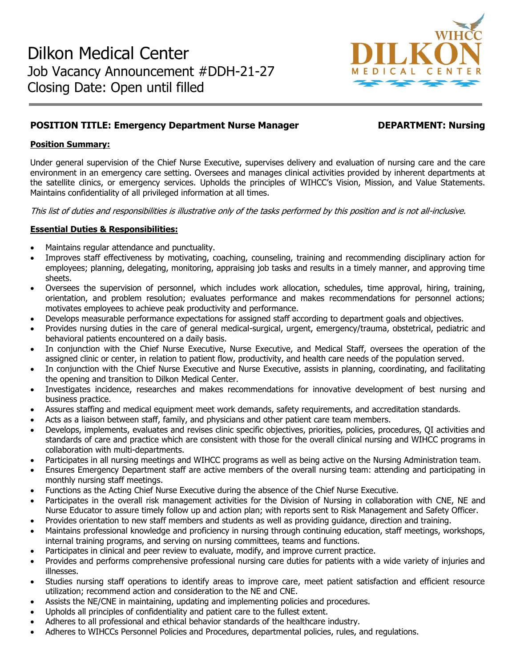

# **POSITION TITLE: Emergency Department Nurse Manager DEPARTMENT: Nursing**

## **Position Summary:**

Under general supervision of the Chief Nurse Executive, supervises delivery and evaluation of nursing care and the care environment in an emergency care setting. Oversees and manages clinical activities provided by inherent departments at the satellite clinics, or emergency services. Upholds the principles of WIHCC's Vision, Mission, and Value Statements. Maintains confidentiality of all privileged information at all times.

This list of duties and responsibilities is illustrative only of the tasks performed by this position and is not all-inclusive.

## **Essential Duties & Responsibilities:**

- Maintains regular attendance and punctuality.
- Improves staff effectiveness by motivating, coaching, counseling, training and recommending disciplinary action for employees; planning, delegating, monitoring, appraising job tasks and results in a timely manner, and approving time sheets.
- Oversees the supervision of personnel, which includes work allocation, schedules, time approval, hiring, training, orientation, and problem resolution; evaluates performance and makes recommendations for personnel actions; motivates employees to achieve peak productivity and performance.
- Develops measurable performance expectations for assigned staff according to department goals and objectives.
- Provides nursing duties in the care of general medical-surgical, urgent, emergency/trauma, obstetrical, pediatric and behavioral patients encountered on a daily basis.
- In conjunction with the Chief Nurse Executive, Nurse Executive, and Medical Staff, oversees the operation of the assigned clinic or center, in relation to patient flow, productivity, and health care needs of the population served.
- In conjunction with the Chief Nurse Executive and Nurse Executive, assists in planning, coordinating, and facilitating the opening and transition to Dilkon Medical Center.
- Investigates incidence, researches and makes recommendations for innovative development of best nursing and business practice.
- Assures staffing and medical equipment meet work demands, safety requirements, and accreditation standards.
- Acts as a liaison between staff, family, and physicians and other patient care team members.
- Develops, implements, evaluates and revises clinic specific objectives, priorities, policies, procedures, QI activities and standards of care and practice which are consistent with those for the overall clinical nursing and WIHCC programs in collaboration with multi-departments.
- Participates in all nursing meetings and WIHCC programs as well as being active on the Nursing Administration team.
- Ensures Emergency Department staff are active members of the overall nursing team: attending and participating in monthly nursing staff meetings.
- Functions as the Acting Chief Nurse Executive during the absence of the Chief Nurse Executive.
- Participates in the overall risk management activities for the Division of Nursing in collaboration with CNE, NE and Nurse Educator to assure timely follow up and action plan; with reports sent to Risk Management and Safety Officer.
- Provides orientation to new staff members and students as well as providing guidance, direction and training.
- Maintains professional knowledge and proficiency in nursing through continuing education, staff meetings, workshops, internal training programs, and serving on nursing committees, teams and functions.
- Participates in clinical and peer review to evaluate, modify, and improve current practice.
- Provides and performs comprehensive professional nursing care duties for patients with a wide variety of injuries and illnesses.
- Studies nursing staff operations to identify areas to improve care, meet patient satisfaction and efficient resource utilization; recommend action and consideration to the NE and CNE.
- Assists the NE/CNE in maintaining, updating and implementing policies and procedures.
- Upholds all principles of confidentiality and patient care to the fullest extent.
- Adheres to all professional and ethical behavior standards of the healthcare industry.
- Adheres to WIHCCs Personnel Policies and Procedures, departmental policies, rules, and regulations.